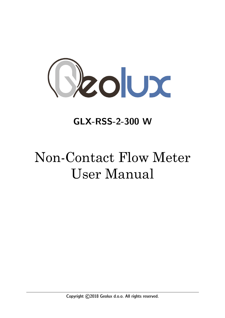

# **GLX-RSS-2-300 W**

# Non-Contact Flow Meter User Manual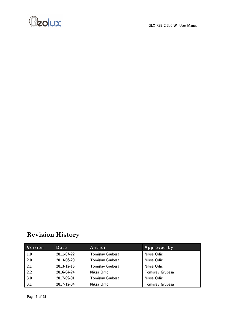

# **Revision History**

| Version | Date       | Author                  | Approved by             |
|---------|------------|-------------------------|-------------------------|
| 1.0     | 2011-07-22 | <b>Tomislav Grubesa</b> | Niksa Orlic             |
| 2.0     | 2013-06-20 | <b>Tomislav Grubesa</b> | Niksa Orlic             |
| 2.1     | 2013-12-16 | <b>Tomislav Grubesa</b> | Niksa Orlic             |
| 2.2     | 2016-04-24 | Niksa Orlic             | <b>Tomislav Grubesa</b> |
| 3.0     | 2017-09-01 | <b>Tomislav Grubesa</b> | Niksa Orlic             |
| 3.1     | 2017-12-04 | Niksa Orlic             | <b>Tomislav Grubesa</b> |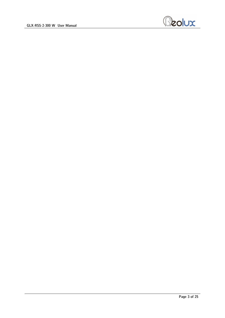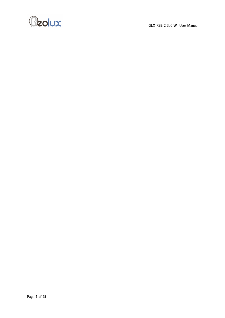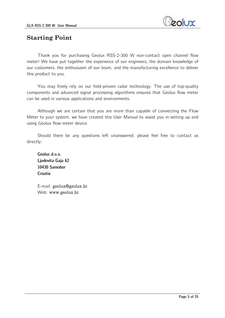

# **Starting Point**

Thank you for purchasing Geolux RSS-2-300 W non-contact open channel flow meter! We have put together the experience of our engineers, the domain knowledge of our customers, the enthusiasm of our team, and the manufacturing excellence to deliver this product to you.

You may freely rely on our field-proven radar technology. The use of top-quality components and advanced signal processing algorithms ensures that Geolux flow meter can be used in various applications and environments.

Although we are certain that you are more than capable of connecting the Flow Meter to your system, we have created this User Manual to assist you in setting up and using Geolux flow meter device.

Should there be any questions left unanswered, please feel free to contact us directly:

Geolux d.o.o. Ljudevita Gaja 62 10430 Samobor **Croatia** 

E-mail: geolux@geolux.hr Web: www.geolux.hr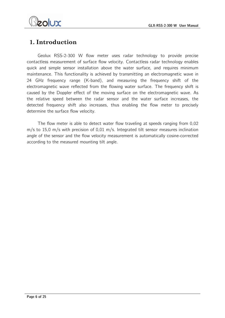

# **1. Introduction**

Geolux RSS-2-300 W flow meter uses radar technology to provide precise contactless measurement of surface flow velocity. Contactless radar technology enables quick and simple sensor installation above the water surface, and requires minimum maintenance. This functionality is achieved by transmitting an electromagnetic wave in 24 GHz frequency range (K-band), and measuring the frequency shift of the electromagnetic wave reflected from the flowing water surface. The frequency shift is caused by the Doppler effect of the moving surface on the electromagnetic wave. As the relative speed between the radar sensor and the water surface increases, the detected frequency shift also increases, thus enabling the flow meter to precisely determine the surface flow velocity.

The flow meter is able to detect water flow traveling at speeds ranging from 0,02 m/s to 15,0 m/s with precision of 0,01 m/s. Integrated tilt sensor measures inclination angle of the sensor and the flow velocity measurement is automatically cosine-corrected according to the measured mounting tilt angle.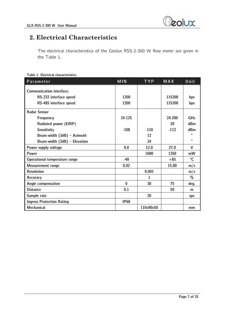

# **2. Electrical Characteristics**

The electrical characteristics of the Geolux RSS-2-300 W flow meter are given in the Table 1.

Table 1. Electrical characteristics

| Parameter                        | <b>MIN</b>  | <b>TYP</b> | <b>MAX</b> | Unit       |
|----------------------------------|-------------|------------|------------|------------|
| <b>Communication interface:</b>  |             |            |            |            |
|                                  |             |            |            |            |
| RS-232 interface speed           | 1200        |            | 115200     | bps        |
| RS-485 interface speed           | 1200        |            | 115200     | bps        |
| <b>Radar Sensor</b>              |             |            |            |            |
| Frequency                        | 24.125      |            | 24.200     | GHZ        |
| Radiated power (EIRP)            |             |            | 20         | dBm        |
| Sensitivity                      | $-108$      | $-110$     | $-112$     | dBm        |
| Beam-width (3dB) - Azimuth       |             | 12         |            |            |
| Beam-width (3dB) - Elevation     |             | 24         |            | $\bullet$  |
| Power supply voltage             | 9,0         | 12,0       | 27,0       | V          |
| Power                            |             | 1000       | 1350       | mW         |
| Operational temperature range    | $-40$       |            | $+85$      | °C         |
| <b>Measurement range</b>         | 0,02        |            | 15,00      | m/s        |
| <b>Resolution</b>                |             | 0,001      |            | m/s        |
| Accuracy                         |             | 1          |            | $\%$       |
| Angle compensation               | $\bf{0}$    | 30         | 75         | deg.       |
| <b>Distance</b>                  | 0,1         |            | 50         | m          |
| Sample rate                      |             | 20         |            | <b>SDS</b> |
| <b>Ingress Protection Rating</b> | <b>IP68</b> |            |            |            |
| <b>Mechanical</b>                |             | 110×90×50  |            | mm         |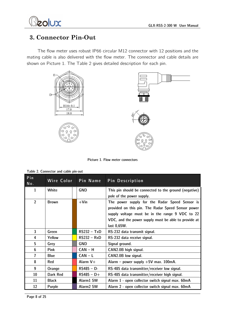

# **3. Connector Pin-Out**

The flow meter uses robust IP66 circular M12 connector with 12 positions and the mating cable is also delivered with the flow meter. The connector and cable details are shown on Picture 1. The Table 2 gives detailed description for each pin.



Picture 1. Flow meter connectors

| Pin<br>No.       | <b>Wire Color</b> | Pin Name              | Pin Description                                                                                                                                                                                                                |
|------------------|-------------------|-----------------------|--------------------------------------------------------------------------------------------------------------------------------------------------------------------------------------------------------------------------------|
| 1                | White             | <b>GND</b>            | This pin should be connected to the ground (negative)<br>pole of the power supply.                                                                                                                                             |
| $\overline{2}$   | <b>Brown</b>      | $+V$ in               | The power supply for the Radar Speed Sensor is<br>provided on this pin. The Radar Speed Sensor power<br>supply voltage must be in the range 9 VDC to 22<br>VDC, and the power supply must be able to provide at<br>last 0,65W. |
| 3                | Green             | $RS232 - TxD$         | RS-232 data transmit signal.                                                                                                                                                                                                   |
| 4                | Yellow            | $RS232 - RxD$         | RS-232 data receive signal.                                                                                                                                                                                                    |
| 5                | Grey              | <b>GND</b>            | Signal ground.                                                                                                                                                                                                                 |
| 6                | Pink              | $CAN - H$             | CAN2.0B high signal.                                                                                                                                                                                                           |
| $\overline{7}$   | <b>Blue</b>       | $CAN - L$             | CAN2.0B low signal.                                                                                                                                                                                                            |
| 8                | Red               | Alarm $V+$            | Alarm – power supply $+5V$ max. 100mA.                                                                                                                                                                                         |
| $\boldsymbol{9}$ | Orange            | $RS485 - D -$         | RS-485 data transmitter/receiver low signal.                                                                                                                                                                                   |
| 10               | Dark Red          | $RS485 - D +$         | RS-485 data transmitter/receiver high signal.                                                                                                                                                                                  |
| 11               | <b>Black</b>      | Alarm1 SW             | Alarm 1 - open collector switch signal max. 60mA                                                                                                                                                                               |
| 12               | Purple            | Alarm <sub>2</sub> SW | Alarm 2 - open collector switch signal max. 60mA                                                                                                                                                                               |

Table 2. Connector and cable pin-out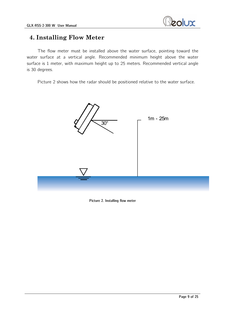

## **4. Installing Flow Meter**

The flow meter must be installed above the water surface, pointing toward the water surface at a vertical angle. Recommended minimum height above the water surface is 1 meter, with maximum height up to 25 meters. Recommended vertical angle is 30 degrees.

Picture 2 shows how the radar should be positioned relative to the water surface.



Picture 2. Installing flow meter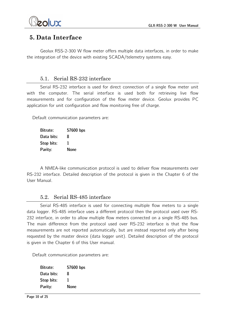

# **5. Data Interface**

Geolux RSS-2-300 W flow meter offers multiple data interfaces, in order to make the integration of the device with existing SCADA/telemetry systems easy.

### 5.1. Serial RS-232 interface

Serial RS-232 interface is used for direct connection of a single flow meter unit with the computer. The serial interface is used both for retrieving live flow measurements and for configuration of the flow meter device. Geolux provides PC application for unit configuration and flow monitoring free of charge.

Default communication parameters are:

Bitrate: 57600 bps Data bits: 8 Stop bits: 1 Parity: None

A NMEA-like communication protocol is used to deliver flow measurements over RS-232 interface. Detailed description of the protocol is given in the Chapter 6 of the User Manual.

### 5.2. Serial RS-485 interface

Serial RS-485 interface is used for connecting multiple flow meters to a single data logger. RS-485 interface uses a different protocol then the protocol used over RS-232 interface, in order to allow multiple flow meters connected on a single RS-485 bus. The main difference from the protocol used over RS-232 interface is that the flow measurements are not reported automatically, but are instead reported only after being requested by the master device (data logger unit). Detailed description of the protocol is given in the Chapter 6 of this User manual.

Default communication parameters are:

| Bitrate:   | 57600 bps |
|------------|-----------|
| Data bits: | 8         |
| Stop bits: | 1         |
| Parity:    | None      |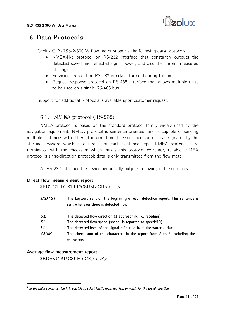

## **6. Data Protocols**

Geolux GLX-RSS-2-300 W flow meter supports the following data protocols:

- NMEA-like protocol on RS-232 interface that constantly outputs the detected speed and reflected signal power, and also the current measured tilt angle
- Servicing protocol on RS-232 interface for configuring the unit
- Request-response protocol on RS-485 interface that allows multiple units to be used on a single RS-485 bus

Support for additional protocols is available upon customer request.

### 6.1. NMEA protocol (RS-232)

NMEA protocol is based on the standard protocol family widely used by the navigation equipment. NMEA protocol is sentence oriented, and is capable of sending multiple sentences with different information. The sentence content is designated by the starting keyword which is different for each sentence type. NMEA sentences are terminated with the checksum which makes this protocol extremely reliable. NMEA protocol is singe-direction protocol: data is only transmitted from the flow meter.

At RS-232 interface the device periodically outputs following data sentences:

### **Direct flow measurement report**

\$RDTGT,D1,S1,L1\*CSUM<CR><LF>

- *\$RDTGT***:** The keyword sent on the beginning of each detection report. This sentence is sent whenever there is detected flow.
- D1: The detected flow direction (1 approaching, -1 receding).
- S1: The detected flow speed (speed<sup>1</sup> is reported as speed\*10).
- L1: The detected level of the signal reflection from the water surface.
- CSUM: The check sum of the characters in the report from  $\frac{1}{2}$  to  $*$  excluding these characters.

### **Average flow measurement report**

 $\overline{a}$ 

\$RDAVG,S1\*CSUM<CR><LF>

<sup>&</sup>lt;sup>1</sup> In the radar sensor setting it is possible to select km/h, mph, fps, fpm or mm/s for the speed reporting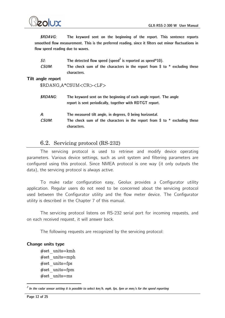

**\$RDAVG:** The keyword sent on the beginning of the report. This sentence reports smoothed flow measurement. This is the preferred reading, since it filters out minor fluctuations in flow speed reading due to waves.

| S1:   | The detected flow speed (speed <sup>2</sup> is reported as speed*10).                 |
|-------|---------------------------------------------------------------------------------------|
| CSUM: | The check sum of the characters in the report from $\frac{1}{2}$ to * excluding these |
|       | characters.                                                                           |

#### **Tilt angle report**

\$RDANG,A\*CSUM<CR><LF>

- **\$RDANG:** The keyword sent on the beginning of each angle report. The angle report is sent periodically, together with RDTGT report.
- <sup>A</sup>: The measured tilt angle, in degrees, 0 being horizontal.
- CSUM: The check sum of the characters in the report from  $$$  to  $*$  excluding these characters.

### 6.2. Servicing protocol (RS-232)

The servicing protocol is used to retrieve and modify device operating parameters. Various device settings, such as unit system and filtering parameters are configured using this protocol. Since NMEA protocol is one way (it only outputs the data), the servicing protocol is always active.

To make radar configuration easy, Geolux provides a Configurator utility application. Regular users do not need to be concerned about the servicing protocol used between the Configurator utility and the flow meter device. The Configurator utility is described in the Chapter 7 of this manual.

The servicing protocol listens on RS-232 serial port for incoming requests, and on each received request, it will answer back.

The following requests are recognized by the servicing protocol:

#### **Change units type**

 $#set$  units=kmh #set units=mph  $#set$  units=fps  $#set$  units=fpm #set units=ms

 $\overline{a}$ 

<sup>&</sup>lt;sup>2</sup> In the radar sensor setting it is possible to select km/h, mph, fps, fpm or mm/s for the speed reporting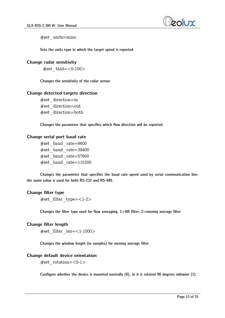

#set units=mms

Sets the units type in which the target speed is reported.

#### **Change radar sensitivity**

 $#set$  thld= $<0-100>$ 

Changes the sensitivity of the radar sensor.

#### **Change detected targets direction**

 $#set$  direction=in #set\_direction=out #set\_direction=both

Changes the parameter that specifies which flow direction will be reported.

#### **Change serial port baud rate**

#set baud rate=9600 #set baud rate=38400  $#set$  baud rate=57600 #set baud rate=115200

Changes the parameter that specifies the baud rate speed used by serial communication line; the same value is used for both RS-232 and RS-485.

#### **Change filter type**

#set filter type= $<1-2>$ 

Changes the filter type used for flow averaging.  $1=$ IIR filter;  $2=$ moving average filter

#### **Change filter length**

#set filter len= $<$ 1-1000 $>$ 

Changes the window length (in samples) for moving average filter.

#### **Change default device orientation**

 $#set$  rotation= $<0$ -1>

Configure whether the device is mounted normally (0), or it is rotated 90 degrees sidewise (1).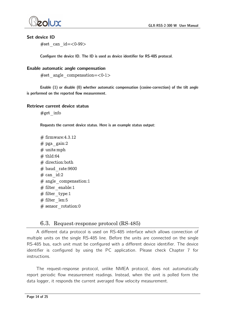



### **Set device ID**

#set can  $id=<0-99>$ 

Configure the device ID. The ID is used as device identifier for RS-485 protocol.

### **Enable automatic angle compensation**

#set angle compensation= $<0$ -1>

Enable (1) or disable (0) whether automatic compensation (cosine-correction) of the tilt angle is performed on the reported flow measurement.

#### **Retrieve current device status**

 $#$ get info

Requests the current device status. Here is an example status output:

 $#$  firmware: 4.3.12  $#$  pga\_gain:2  $#$  units:mph  $#$  thld:64  $#$  direction: both  $#$  baud rate:9600  $# can$ id:2  $#$  angle compensation:1  $#$  filter enable:1 # filter  $type:1$  $#$  filter len:5 # sensor rotation:0

### 6.3. Request-response protocol (RS-485)

A different data protocol is used on RS-485 interface which allows connection of multiple units on the single RS-485 line. Before the units are connected on the single RS-485 bus, each unit must be configured with a different device identifier. The device identifier is configured by using the PC application. Please check Chapter 7 for instructions.

The request-response protocol, unlike NMEA protocol, does not automatically report periodic flow measurement readings. Instead, when the unit is polled form the data logger, it responds the current averaged flow velocity measurement.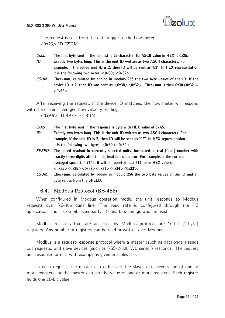

The request is sent from the data logger to the flow meter: <0x25> ID CSUM

- $0x25$ : The first byte sent in the request is % character. Its ASCII value in HEX is  $0x25$ .
- ID: Exactly two bytes long. This is the unit ID written as two ASCII characters. For example, if the polled unit ID is 2, then ID will be sent as "02". In HEX representation it is the following two bytes:  $\langle 0x30 \rangle \langle 0x32 \rangle$ .
- CSUM: Checksum, calculated by adding in modulo 256 the two byte values of the ID. If the device ID is 2, then ID was sent as  $\langle 0x30 \rangle \langle 0x32 \rangle$ . Checksum is then  $0x30+0x32 =$  $<0x62$ .

After receiving the request, if the device ID matches, the flow meter will respond with the current averaged flow velocity reading:

<0xA5> ID SPEED CSUM

- $0xA5$ : The first byte sent in the response is byte with HEX value of  $0xA5$ .
- ID: Exactly two bytes long. This is the unit ID written as two ASCII characters. For example, if the unit ID is 2, then ID will be sent as "02". In HEX representation it is the following two bytes:  $\langle 0x30 \rangle \langle 0x32 \rangle$ .
- SPEED: The speed readout in currently selected units, formatted as real (float) number with exactly three digits after the decimal dot separator. For example, if the current averaged speed is 5.7143, it will be reported as 5.714, or in HEX values:  $<$ 0x35> $<$ 0x2E> $<$ 0x37> $<$ 0x31> $<$ 0x34> $<$ 0x33>.
- CSUM: Checksum, calculated by adding in modulo 256 the two byte values of the ID and all byte values from the SPEED.

### 6.4. Modbus Protocol (RS-485)

When configured in Modbus operation mode, the unit responds to Modbus requests over RS-485 dana line. The baud rate id configured through the PC application, and 1 stop bit, even parity, 8 dana bits configuration is used.

Modbus registers that are accessed by Modbus protocol are 16-bit (2-byte) registers. Any number of registers can be read or written over Modbus.

Modbus is a request-response protocol where a master (such as datalogger) sends out requests, and slave devices (such as RSS-2-300 WL sensor) responds. The request and response format, with example is given in tables 3-6.

In each request, the master can either ask the slave to retrieve value of one or more registers, or the master can set the value of one or more registers. Each register holds one 16-bit value.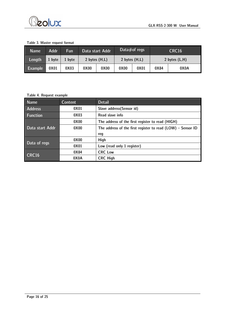#### Table 3. Master request format

| <b>Name</b>    | <b>Addr</b> | Fun    |                 | Data#of regs<br>Data start Addr |                 |      | CRC16 |                 |
|----------------|-------------|--------|-----------------|---------------------------------|-----------------|------|-------|-----------------|
| Length         | byte        | 1 byte | 2 bytes $(H,L)$ |                                 | 2 bytes $(H,L)$ |      |       | 2 bytes $(L,H)$ |
| <b>Example</b> | 0X01        | 0X03   | 0x00            | 0X00                            | 0X00            | 0X01 | 0X84  | 0X0A            |

### Table 4. Request example

| <b>Name</b>     | Content | <b>Detail</b>                                                 |  |
|-----------------|---------|---------------------------------------------------------------|--|
| <b>Address</b>  | 0X01    | Slave address (Sensor id)                                     |  |
| <b>Function</b> | 0X03    | Read slave info                                               |  |
|                 | 0X00    | The address of the first register to read (HIGH)              |  |
| Data start Addr | 0X00    | The address of the first register to read $(LOW)$ – Sensor ID |  |
|                 |         | req                                                           |  |
|                 | 0X00    | <b>High</b>                                                   |  |
| Data of regs    | 0X01    | Low (read only 1 register)                                    |  |
|                 | 0X84    | <b>CRC Low</b>                                                |  |
| CRC16           | 0X0A    | <b>CRC High</b>                                               |  |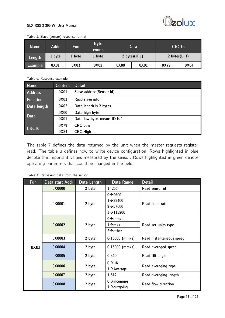

| Table 5. Slave (sensor) response format |  |
|-----------------------------------------|--|
|-----------------------------------------|--|

| <b>Name</b>    | <b>Addr</b> | Fun    | <b>Byte</b><br>count | Data            |      | CRC16 |                 |
|----------------|-------------|--------|----------------------|-----------------|------|-------|-----------------|
| Length         | 1 byte      | 1 byte | 1 byte               | 2 bytes $(H,L)$ |      |       | 2 bytes $(L,H)$ |
| <b>Example</b> | 0X01        | 0X03   | 0X02                 | 0X00            | 0X01 | 0X79  | 0X84            |

#### Table 6. Response example

| <b>Name</b>     | Content | <b>Detail</b>                |  |  |  |
|-----------------|---------|------------------------------|--|--|--|
| <b>Address</b>  | 0X01    | Slave address (Sensor id)    |  |  |  |
| <b>Function</b> | 0X03    | Read slave info              |  |  |  |
| Data length     | 0X02    | Data length is 2 bytes       |  |  |  |
|                 | 0X00    | Data high byte               |  |  |  |
| Data            | 0X01    | Data low byte, means ID is 1 |  |  |  |
|                 | 0X79    | <b>CRC Low</b>               |  |  |  |
| CRC16           | 0X84    | <b>CRC High</b>              |  |  |  |

The table 7 defines the data returned by the unit when the master requests register read. The table 8 defines how to write device configuration. Rows highlighted in blue denote the important values measured by the sensor. Rows highlighted in green denote operating paramters that could be changed in the field.

#### Table 7. Retrieving data from the sensor

| Fun  | Data start Addr | Data Length | Data Range               | <b>Detail</b>            |
|------|-----------------|-------------|--------------------------|--------------------------|
|      | 0X0000          | 2 byte      | $1^{\sim}255$            | Read sensor id           |
|      |                 |             | $0 \rightarrow 9600$     |                          |
|      | 0X0001          |             | $1 \rightarrow 38400$    | Read baud rate           |
|      |                 | 2 byte      | $2 \rightarrow 57600$    |                          |
|      |                 |             | $3 \rightarrow 115200$   |                          |
|      |                 |             | $0\rightarrow$ mm/s      |                          |
|      | 0X0002          | 2 byte      | $1 \rightarrow m/s$      | Read set units type      |
|      |                 |             | $2\rightarrow$ other     |                          |
| 0X03 | 0X0003          | 2 byte      | $0-15000$ (mm/s)         | Read instantaneous speed |
|      | 0X0004          | 2 byte      | $0-15000$ (mm/s)         | Read averaged speed      |
|      | 0X0005          | 2 byte      | $0 - 360$                | Read tilt angle          |
|      | 0X0006          | 2 byte      | $0 \rightarrow$ IIR      |                          |
|      |                 |             | $1 \rightarrow$ Average  | Read averaging type      |
|      | 0X0007          | 2 byte      | $1 - 512$                | Read averaging length    |
|      | 0X0008          |             | $0 \rightarrow$ incoming | Read flow direction      |
|      |                 | 2 byte      | $1\rightarrow$ outgoing  |                          |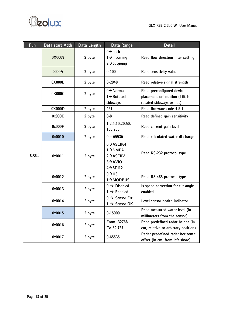

| Fun  | Data start Addr | Data Length | Data Range                                                                                                                 | <b>Detail</b>                                                                            |
|------|-----------------|-------------|----------------------------------------------------------------------------------------------------------------------------|------------------------------------------------------------------------------------------|
|      | 0X0009          | 2 byte      | $0 \rightarrow$ both<br>$1 \rightarrow$ incoming<br>$2\rightarrow$ outgoing                                                | Read flow direction filter setting                                                       |
|      | 0000A           | 2 byte      | $0 - 100$                                                                                                                  | Read sensitivity value                                                                   |
|      | 0X000B          | 2 byte      | $0 - 2048$                                                                                                                 | Read relative signal strength                                                            |
|      | 0X000C          | 2 byte      | $0 \rightarrow$ Normal<br>$1 \rightarrow$ Rotated<br>sideways                                                              | Read preconfigured device<br>placement orientation (i fit is<br>rotated sideways or not) |
|      | 0X000D          | 2 byte      | 451                                                                                                                        | Read firmware code 4.5.1                                                                 |
|      | 0x000E          | 2 byte      | $0-8$                                                                                                                      | Read defined gain sensitivity                                                            |
|      | 0x000F          | 2 byte      | 1,2,5,10,20,50,<br>100,200                                                                                                 | Read current gain level                                                                  |
|      | 0x0010          | 2 byte      | $0 - 65536$                                                                                                                | Read calculated water discharge                                                          |
| 0X03 | 0x0011          | 2 byte      | $0 \rightarrow$ ASCII64<br>$1 \rightarrow$ NMEA<br>$2 \rightarrow$ ASCIIV<br>$3 \rightarrow$ AVIO<br>$4 \rightarrow$ SDI12 | Read RS-232 protocol type                                                                |
|      | 0x0012          | 2 byte      | $0 \rightarrow HS$<br>$1 \rightarrow$ MODBUS                                                                               | Read RS-485 protocol type                                                                |
|      | 0x0013          | 2 byte      | $0 \rightarrow$ Disabled<br>$1 \rightarrow$ Enabled                                                                        | Is speed correction for tilt angle<br>enabled                                            |
|      | 0x0014          | 2 byte      | $0 \rightarrow$ Sensor Err.<br>$1 \rightarrow$ Sensor OK                                                                   | Level sensor health indicator                                                            |
|      | 0x0015          | 2 byte      | 0-15000                                                                                                                    | Read measured water level (in<br>millimeters from the sensor)                            |
|      | 0x0016          | 2 byte      | From -32768<br>To 32,767                                                                                                   | Read predefined radar height (in<br>cm, relative to arbitrary position)                  |
|      | 0x0017          | 2 byte      | 0-65535                                                                                                                    | Radar predefined radar horizontal<br>offset (in cm, from left shore)                     |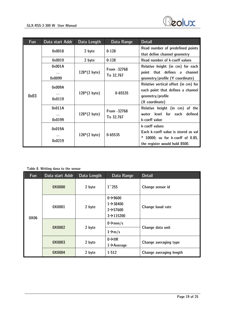

| Fun. | Data start Addr              | Data Length            | Data Range               | <b>Detail</b>                                                                                                                                                                                               |  |  |
|------|------------------------------|------------------------|--------------------------|-------------------------------------------------------------------------------------------------------------------------------------------------------------------------------------------------------------|--|--|
| 0x03 | 0x0018                       | 2 byte                 | $0 - 128$                | Read number of predefined points<br>that define channel geometry                                                                                                                                            |  |  |
|      | 0x0019                       | 2 byte                 | $0 - 128$                | Read number of k-coeff values                                                                                                                                                                               |  |  |
|      | 0x001A<br>$\cdots$<br>0x0099 | $128*(2 \text{ byte})$ | From -32768<br>To 32,767 | Relative height (in cm) for each<br>point that defines a channel<br>geometry/profile (Y coordinate)                                                                                                         |  |  |
|      | 0x009A<br><br>0x0119         | $128*(2 \text{ byte})$ | $0 - 65535$              | Relative vertical offset (in cm) for<br>each point that defines a channel<br>geometry/profile<br>(X coordinate)<br>Relative height (in cm) of the<br>for each<br>level<br>defined<br>water<br>k-coeff value |  |  |
|      | 0x011A<br><br>0x0199         | $128*(2 \text{ byte})$ | From -32768<br>To 32,767 |                                                                                                                                                                                                             |  |  |
|      | 0x019A<br><br>0x0219         | $128*(2 \text{ byte})$ | 0-65535                  | k-coeff values<br>Each k-coeff value is stored as val<br>$*$ 10000; so for k-coeff of 0.85,<br>the register would hold 8500.                                                                                |  |  |

Table 8. Writing dana to the sensor

| <b>Fun</b> | Data start Addr | Data Length | Data Range                                                                                       | <b>Detail</b>           |  |
|------------|-----------------|-------------|--------------------------------------------------------------------------------------------------|-------------------------|--|
| 0X06       | 0X0000          | 2 byte      | $1^{\sim}255$                                                                                    | Change sensor id        |  |
|            | 0X0001          | 2 byte      | $0 \rightarrow 9600$<br>$1 \rightarrow 38400$<br>$2 \rightarrow 57600$<br>$3 \rightarrow 115200$ | Change baud rate        |  |
|            | 0X0002          | 2 byte      | $0 \rightarrow$ mm/s<br>$1 \rightarrow m/s$                                                      | Change data unit        |  |
|            | 0X0003          | 2 byte      | $0 \rightarrow$ IIR<br>$1 \rightarrow$ Average                                                   | Change averaging type   |  |
|            | 0X0004          | 2 byte      | $1 - 512$                                                                                        | Change averaging length |  |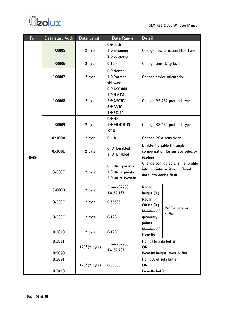



| Fun  | Data start Addr              | Data Length            | Data Range                                                                                                                 | <b>Detail</b>                                                                                    |                           |
|------|------------------------------|------------------------|----------------------------------------------------------------------------------------------------------------------------|--------------------------------------------------------------------------------------------------|---------------------------|
| 0x06 | 0X0005                       | 2 byte                 | $0 \rightarrow$ both<br>$1 \rightarrow$ incoming<br>$2\rightarrow$ outgoing                                                | Change flow direction filter type                                                                |                           |
|      | 0X0006                       | 2 byte                 | $0 - 100$                                                                                                                  | Change sensitivity level                                                                         |                           |
|      | 0X0007                       | 2 byte                 | $0 \rightarrow$ Normal<br>$1 \rightarrow$ Rotated<br>sideways                                                              | Change device orientation                                                                        |                           |
|      | 0X0008                       | 2 byte                 | $0 \rightarrow$ ASCII64<br>$1 \rightarrow$ NMEA<br>$2 \rightarrow$ ASCIIV<br>$3 \rightarrow$ AVIO<br>$4 \rightarrow$ SDI12 | Change RS-232 protocol type                                                                      |                           |
|      | 0X0009                       | 2 byte                 | $0 \rightarrow HS$<br>$1 \rightarrow$ MODBUS<br><b>RTU</b>                                                                 | Change RS-485 protocol type                                                                      |                           |
|      | 0X000A                       | 2 byte                 | $0 - 8$                                                                                                                    | <b>Change PGA sensitivity</b>                                                                    |                           |
|      | 0X000B                       | 2 byte                 | $0 \rightarrow$ Disabled<br>$1 \rightarrow$ Enabled                                                                        | Enable / disable tilt angle<br>compensation for surface velocity<br>reading                      |                           |
|      | 0x000C                       | 2 byte                 | $0 \rightarrow$ Writ params<br>$1 \rightarrow$ Write points<br>$2\rightarrow$ Write k-coeffs                               | Change configured channel profile<br>info. Initiates writing buffered<br>data into device flash. |                           |
|      | 0x000D                       | 2 byte                 | From -32768<br>To 32,767                                                                                                   | Radar<br>height (Y)                                                                              | Profile params<br>buffer. |
|      | 0x000E                       | 2 byte                 | 0-65535                                                                                                                    | Radar<br>Offset (X)                                                                              |                           |
|      | 0x000F                       | 2 byte                 | $0 - 128$                                                                                                                  | Number of<br>geometry<br>points                                                                  |                           |
|      | 0x0010                       | 2 byte                 | $0 - 128$                                                                                                                  | Number of<br>k-coeffs                                                                            |                           |
|      | 0x0011<br><br>0x0090         | $128*(2 \text{ byte})$ | From -32768<br>To 32,767                                                                                                   | Point Heights buffer<br><b>OR</b><br>k-coeffs height levels buffer                               |                           |
|      | 0x0091<br>$\cdots$<br>0x0110 | $128*(2 \text{ byte})$ | 0-65535                                                                                                                    | Point X offsets buffer<br><b>OR</b><br>k-coeffs buffer                                           |                           |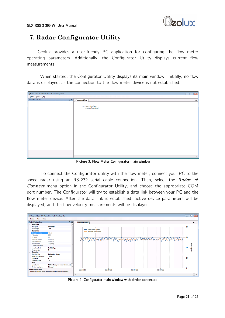

# **7. Radar Configurator Utility**

Geolux provides a user-friendy PC application for configuring the flow meter operating parameters. Additionally, the Configurator Utility displays current flow measurements.

When started, the Configurator Utility displays its main window. Initially, no flow data is displayed, as the connection to the flow meter device is not established.

| Geolux RSS-2-300 Water Flow Radar Configurator |                                             |                  |
|------------------------------------------------|---------------------------------------------|------------------|
| Radar View Help                                |                                             |                  |
| Radar Module Info                              | $\sqrt{4}$ $\times$<br><b>Measured Flow</b> | $\star$ $\times$ |
|                                                |                                             |                  |
|                                                | Water Flow Speed<br>-- Average Flow Speed   |                  |
|                                                |                                             |                  |
|                                                |                                             |                  |
|                                                |                                             |                  |
|                                                |                                             |                  |
|                                                |                                             |                  |
|                                                |                                             |                  |
|                                                |                                             |                  |
|                                                |                                             |                  |
|                                                |                                             |                  |
|                                                |                                             |                  |
|                                                | $\left($                                    |                  |

Picture 3. Flow Meter Configurator main window

To connect the Configurator utility with the flow meter, connect your PC to the speed radar using an RS-232 serial cable connection. Then, select the *Radar*  $\rightarrow$ *Connect* menu option in the Configurator Utility, and choose the appropriate COM port number. The Configurator will try to establish a data link between your PC and the flow meter device. After the data link is established, active device parameters will be displayed, and the flow velocity measurements will be displayed:



Picture 4. Configurator main window with device connected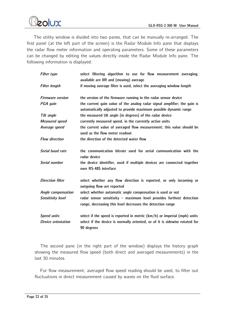The utility window is divided into two panes, that can be manually re-arranged. The first panel (at the left part of the screen) is the Radar Module Info pane that displays the radar flow meter information and operating parameters. Some of these parameters can be changed by editing the values directly inside the Radar Module Info pane. The following information is displayed:

| <b>Filter type</b>        | select filtering algorithm to use for flow measurement averaging;<br>available are IIR and (moving) average                                  |
|---------------------------|----------------------------------------------------------------------------------------------------------------------------------------------|
| <b>Filter length</b>      | if moving average filter is used, select the averaging window length                                                                         |
| <b>Firmware</b> version   | the version of the firmware running in the radar sensor device                                                                               |
| PGA gain                  | the current gain value of the analog radar signal amplifier; the gain is<br>automatically adjusted to provide maximum possible dynamic range |
| <b>Tilt angle</b>         | the measured tilt angle (in degrees) of the radar device                                                                                     |
| <b>Measured speed</b>     | currently measured speed, in the currently active units                                                                                      |
| Average speed             | the current value of averaged flow measurement; this value should be<br>used as the flow meter readout                                       |
| <b>Flow direction</b>     | the direction of the detected water flow                                                                                                     |
| Serial baud rate          | the communication bitrate used for serial communication with the<br>radar device                                                             |
| Serial number             | the device identifier, used if multiple devices are connected together<br>over RS-485 interface                                              |
| <b>Direction filter</b>   | select whether any flow direction is reported, or only incoming or<br>outgoing flow are reported                                             |
| Angle compensation        | select whether automatic angle compensation is used or not                                                                                   |
| Sensitivity level         | radar sensor sensitivity - maximum level provides furthest detection<br>range, decreasing this level decreases the detection range           |
| <b>Speed units</b>        | select if the speed is reported in metric $(km/h)$ or imperial (mph) units                                                                   |
| <b>Device orientation</b> | select if the device is normally oriented, or of it is sidewise rotated for<br>90 degrees                                                    |

The second pane (in the right part of the window) displays the history graph showing the measured flow speed (both direct and averaged measurements) in the last 30 minutes.

For flow measurement, averaged flow speed reading should be used, to filter out fluctuations in direct measurement caused by waves on the fluid surface.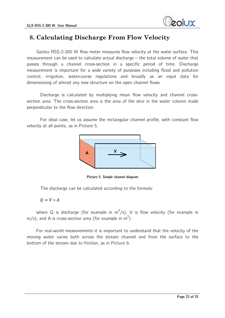

# **8. Calculating Discharge From Flow Velocity**

Geolux RSS-2-300 W flow meter measures flow velocity at the water surface. This measurement can be used to calculate actual discharge – the total volume of water that passes through a channel cross-section in a specific period of time. Discharge measurement is important for a wide variety of purposes including flood and pollution control, irrigation, watercourse regulations and broadly as an input data for dimensioning of almost any new structure on the open channel flows.

Discharge is calculated by multiplying mean flow velocity and channel crosssection area. The cross-section area is the area of the slice in the water column made perpendicular to the flow direction.

For ideal case, let us assume the rectangular channel profile, with constant flow velocity at all points, as in Picture 5.



Picture 5. Simple channel diagram

The discharge can be calculated according to the formula:

 $Q = V * A$ 

where Q is discharge (for example in  $m^3/s$ ), V is flow velocity (for example in m/s), and A is cross-section area (for example in  $m^2$ ).

For real-world measurements it is important to understand that the velocity of the moving water varies both across the stream channel and from the surface to the bottom of the stream due to friction, as in Picture 6.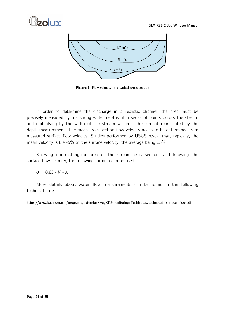



Picture 6. Flow velocity in a typical cross-section

In order to determine the discharge in a realistic channel, the area must be precisely measured by measuring water depths at a series of points across the stream and multiplying by the width of the stream within each segment represented by the depth measurement. The mean cross-section flow velocity needs to be determined from measured surface flow velocity. Studies performed by USGS reveal that, typically, the mean velocity is 80-95% of the surface velocity, the average being 85%.

Knowing non-rectangular area of the stream cross-section, and knowing the surface flow velocity, the following formula can be used:

 $Q = 0.85 * V * A$ 

More details about water flow measurements can be found in the following technical note:

https://www.bae.ncsu.edu/programs/extension/wqg/319monitoring/TechNotes/technote3\_surface\_flow.pdf